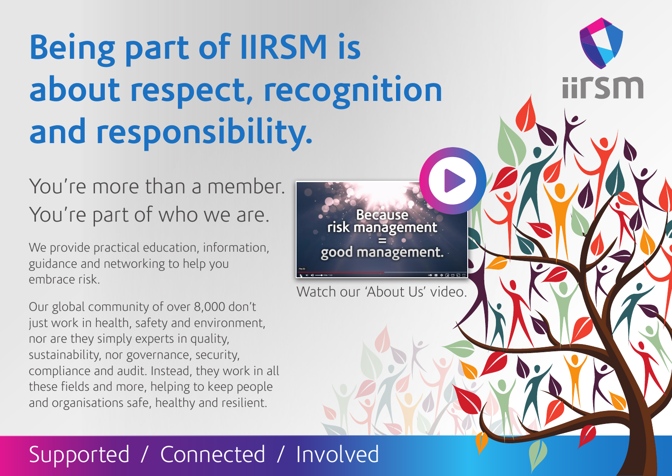# **Being part of IIRSM is about respect, recognition and responsibility.**

### You're more than a member. You're part of who we are.

We provide practical education, information, guidance and networking to help you embrace risk.

Our global community of over 8,000 don't just work in health, safety and environment, nor are they simply experts in quality, sustainability, nor governance, security, compliance and audit. Instead, they work in all these fields and more, helping to keep people and organisations safe, healthy and resilient.

D **Because** risk management good management.

**iirsm** 

Watch our 'About Us' video.

## Supported / Connected / Involved